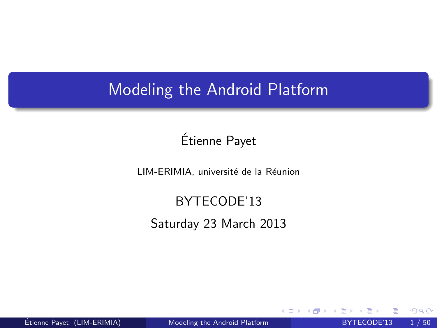### Modeling the Android Platform

### Etienne Payet ´

LIM-ERIMIA, université de la Réunion

# BYTECODE'13

Saturday 23 March 2013

<span id="page-0-0"></span> $\leftarrow$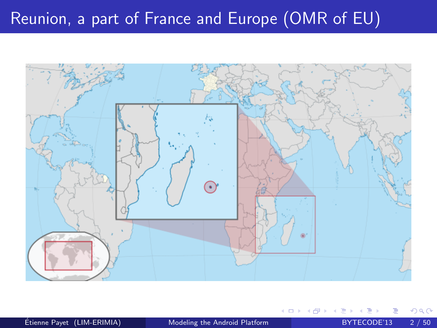## Reunion, a part of France and Europe (OMR of EU)

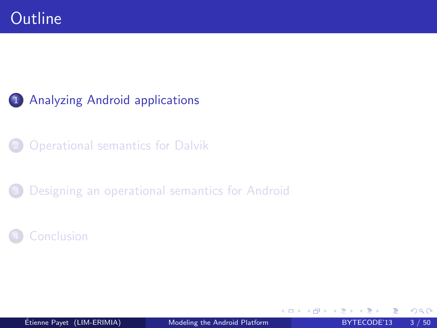### 1 [Analyzing Android applications](#page-2-0)

**[Operational semantics for Dalvik](#page-18-0)** 

[Designing an operational semantics for Android](#page-25-0)

**[Conclusion](#page-46-0)** 

<span id="page-2-0"></span>4 0 8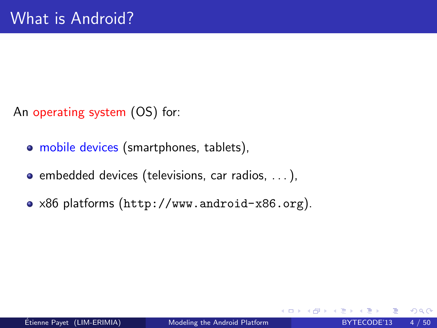An operating system (OS) for:

- mobile devices (smartphones, tablets),
- $\bullet$  embedded devices (televisions, car radios,  $\dots$ ),
- x86 platforms (<http://www.android-x86.org>).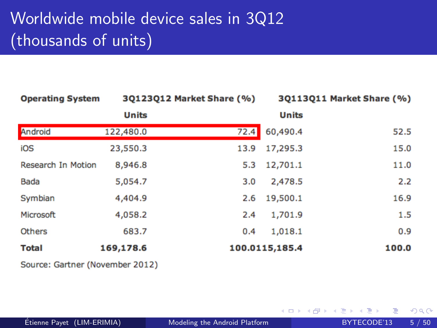## Worldwide mobile device sales in 3Q12 (thousands of units)

| <b>Operating System</b>   |              | 30123012 Market Share (%) | 30113011 Market Share (%) |       |  |
|---------------------------|--------------|---------------------------|---------------------------|-------|--|
|                           | <b>Units</b> |                           | <b>Units</b>              |       |  |
| Android                   | 122,480.0    | 72.4                      | 60,490.4                  | 52.5  |  |
| iOS                       | 23,550.3     | 13.9                      | 17,295.3                  | 15.0  |  |
| <b>Research In Motion</b> | 8,946.8      | 5.3                       | 12,701.1                  | 11.0  |  |
| Bada                      | 5,054.7      | 3.0                       | 2,478.5                   | 2.2   |  |
| Symbian                   | 4,404.9      | 2.6                       | 19,500.1                  | 16.9  |  |
| Microsoft                 | 4,058.2      | 2.4                       | 1,701.9                   | 1.5   |  |
| <b>Others</b>             | 683.7        | 0.4                       | 1,018.1                   | 0.9   |  |
| <b>Total</b>              | 169,178.6    |                           | 100.0115,185.4            | 100.0 |  |

Source: Gartner (November 2012)

4 0 8

 $QQ$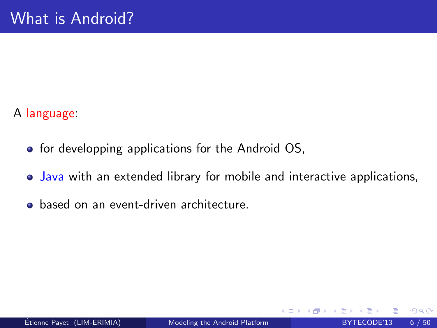### A language:

- **•** for developping applications for the Android OS,
- Java with an extended library for mobile and interactive applications,
- **•** based on an event-driven architecture.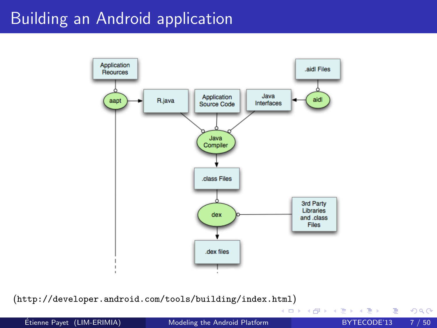### Building an Android application



(<http://developer.android.com/tools/building/index.html>)

 $\frac{1}{2}$  Etienne Payet (LIM-ERIMIA) [Modeling the Android Platform](#page-0-0) BYTECODE'13 7 / 50

4 0 8

э

- 4母 ト 4 ヨ ト 4 ヨ ト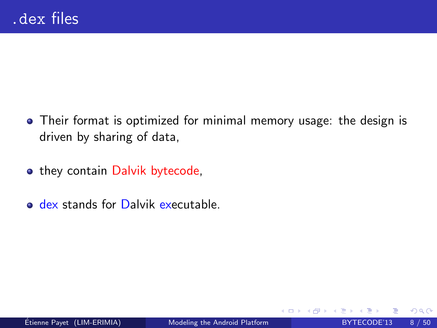- Their format is optimized for minimal memory usage: the design is driven by sharing of data,
- they contain Dalvik bytecode.
- o dex stands for Dalvik executable.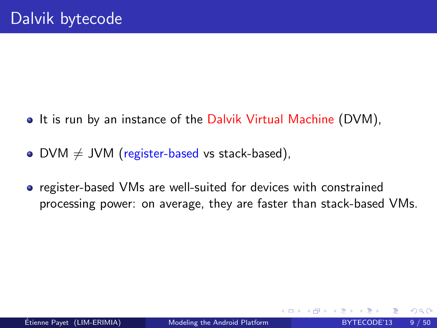- It is run by an instance of the Dalvik Virtual Machine (DVM),
- DVM  $\neq$  JVM (register-based vs stack-based),
- **•** register-based VMs are well-suited for devices with constrained processing power: on average, they are faster than stack-based VMs.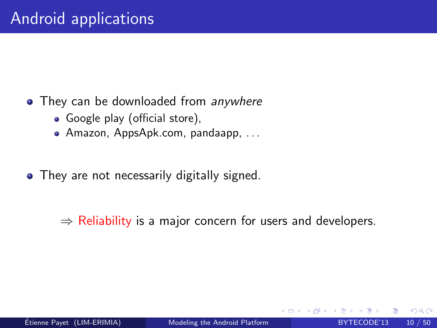- They can be downloaded from anywhere
	- Google play (official store),
	- Amazon, AppsApk.com, pandaapp, . . .
- They are not necessarily digitally signed.

 $\Rightarrow$  Reliability is a major concern for users and developers.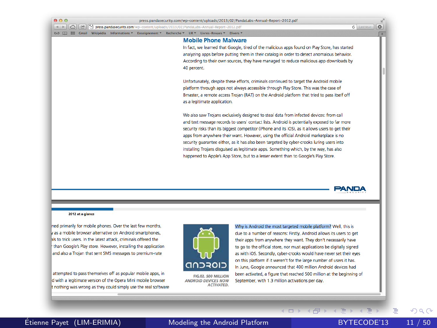| $\left $ d $\right $<br>贮 |  | <sup>1</sup> /3 press.pandasecurity.com/wo-content/uploads/2013/02/PandaLabs-Annual-Report-2012.odf |             |                              | press.pandasecurity.com/wp-content/uploads/2013/02/PandaLabs-Annual-Report-2012.pdf              | $\circ$<br>$c$ Lecteur |
|---------------------------|--|-----------------------------------------------------------------------------------------------------|-------------|------------------------------|--------------------------------------------------------------------------------------------------|------------------------|
| <b>Cost</b>               |  | Wikipédia Informations * Enseignement * Recherche * UR *                                            |             | Livres-Revues                | Divers <b>v</b>                                                                                  |                        |
|                           |  |                                                                                                     |             | <b>Mobile Phone Malware</b>  |                                                                                                  |                        |
|                           |  |                                                                                                     |             |                              | In fact, we learned that Google, tired of the malicious apps found on Play Store, has started    |                        |
|                           |  |                                                                                                     |             |                              | analyzing apps before putting them in their catalog in order to detect anomalous behavior.       |                        |
|                           |  |                                                                                                     |             |                              | According to their own sources, they have managed to reduce malicious app downloads by           |                        |
|                           |  |                                                                                                     | 40 percent. |                              |                                                                                                  |                        |
|                           |  |                                                                                                     |             |                              |                                                                                                  |                        |
|                           |  |                                                                                                     |             |                              | Unfortunately, despite these efforts, criminals continued to target the Android mobile           |                        |
|                           |  |                                                                                                     |             |                              | platform through apps not always accessible through Play Store. This was the case of             |                        |
|                           |  |                                                                                                     |             |                              | Bmaster, a remote access Troian (RAT) on the Android platform that tried to pass itself off      |                        |
|                           |  |                                                                                                     |             | as a legitimate application. |                                                                                                  |                        |
|                           |  |                                                                                                     |             |                              | We also saw Troians exclusively designed to steal data from infected devices: from call          |                        |
|                           |  |                                                                                                     |             |                              | and text message records to users' contact lists. Android is potentially exposed to far more     |                        |
|                           |  |                                                                                                     |             |                              | security risks than its biggest competitor (iPhone and its iOS), as it allows users to get their |                        |
|                           |  |                                                                                                     |             |                              | apps from anywhere their want. However, using the official Android marketplace is no             |                        |
|                           |  |                                                                                                     |             |                              | security quarantee either, as it has also been targeted by cyber-crooks luring users into        |                        |
|                           |  |                                                                                                     |             |                              | installing Trojans disquised as legitimate apps. Something which, by the way, has also           |                        |
|                           |  |                                                                                                     |             |                              | happened to Apple's App Store, but to a lesser extent than to Google's Play Store.               |                        |
|                           |  |                                                                                                     |             |                              |                                                                                                  |                        |
|                           |  |                                                                                                     |             |                              |                                                                                                  |                        |
|                           |  |                                                                                                     |             |                              |                                                                                                  |                        |

#### 2012 at a glance

ned primarily for mobile phones. Over the last few months, as a mobile browser alternative on Android smartphones. als to trick users. In the latest attack, criminals offered the than Google's Play store. However, installing the application and also a Trojan that sent SMS messages to premium-rate

attempted to pass themselves off as popular mobile apps, in d with a legitimate version of the Opera Mini mobile browser nothing was wrong as they could simply use the real software



**FIG.02, 500 MILLION ANDROID DEVICES NOW ACTIVATED.** 

Why is Android the most targeted mobile platform? Well, this is due to a number of reasons: Firstly, Android allows its users to get their apps from anywhere they want. They don't necessarily have to go to the official store, nor must applications be digitally signed as with iOS. Secondly, cyber-crooks would have never set their eyes on this platform if it weren't for the large number of users it has. In June, Google announced that 400 million Android devices had been activated, a figure that reached 500 million at the beginning of September, with 1.3 million activations per day.

(ロ) (同)

E

 $QQ$ 

**PANDA**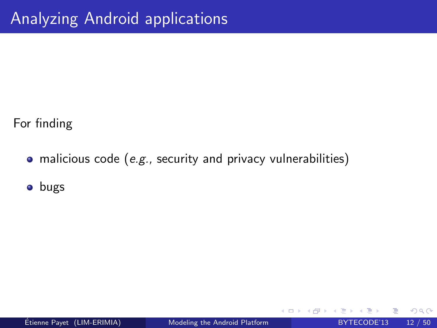For finding

• malicious code (e.g., security and privacy vulnerabilities)

**o** bugs

4 0 8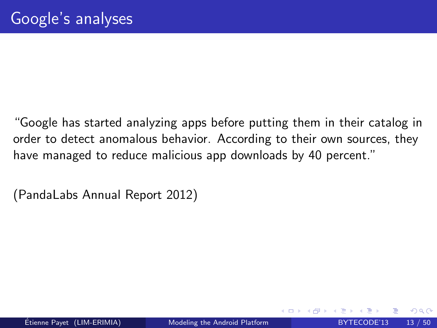"Google has started analyzing apps before putting them in their catalog in order to detect anomalous behavior. According to their own sources, they have managed to reduce malicious app downloads by 40 percent."

<span id="page-12-0"></span>(PandaLabs Annual Report 2012)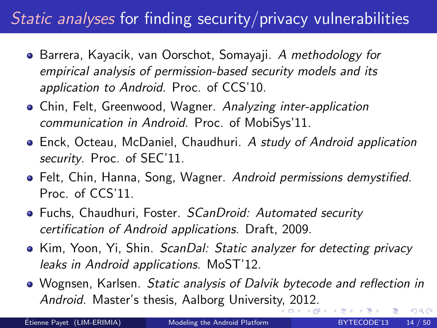## Static analyses for finding security/privacy vulnerabilities

- Barrera, Kayacik, van Oorschot, Somayaji. A methodology for empirical analysis of permission-based security models and its application to Android. Proc. of CCS'10.
- Chin, Felt, Greenwood, Wagner. Analyzing inter-application communication in Android. Proc. of MobiSys'11.
- Enck, Octeau, McDaniel, Chaudhuri. A study of Android application security. Proc. of SEC'11.
- Felt, Chin, Hanna, Song, Wagner. Android permissions demystified. Proc. of CCS'11.
- Fuchs, Chaudhuri, Foster. *SCanDroid: Automated security* certification of Android applications. Draft, 2009.
- Kim, Yoon, Yi, Shin. ScanDal: Static analyzer for detecting privacy leaks in Android applications. MoST'12.
- Wognsen, Karlsen. Static analysis of Dalvik bytecode and reflection in Android. Master's thesis, Aalborg Universit[y,](#page-12-0) [20](#page-14-0)[1](#page-12-0)[2.](#page-13-0)

<span id="page-13-0"></span>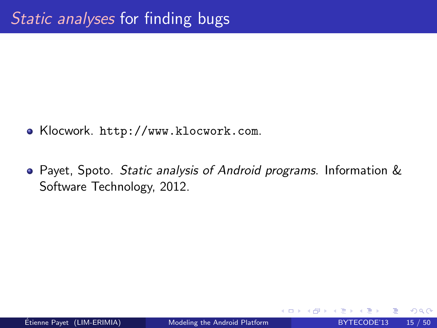- Klocwork. <http://www.klocwork.com>.
- <span id="page-14-0"></span>Payet, Spoto. Static analysis of Android programs. Information & Software Technology, 2012.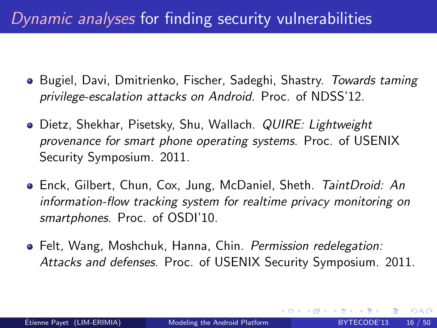## Dynamic analyses for finding security vulnerabilities

- **Bugiel, Davi, Dmitrienko, Fischer, Sadeghi, Shastry.** Towards taming privilege-escalation attacks on Android. Proc. of NDSS'12.
- **•** Dietz, Shekhar, Pisetsky, Shu, Wallach. *QUIRE: Lightweight* provenance for smart phone operating systems. Proc. of USENIX Security Symposium. 2011.
- **•** Enck, Gilbert, Chun, Cox, Jung, McDaniel, Sheth. TaintDroid: An information-flow tracking system for realtime privacy monitoring on smartphones. Proc. of OSDI'10.
- Felt, Wang, Moshchuk, Hanna, Chin. Permission redelegation: Attacks and defenses. Proc. of USENIX Security Symposium. 2011.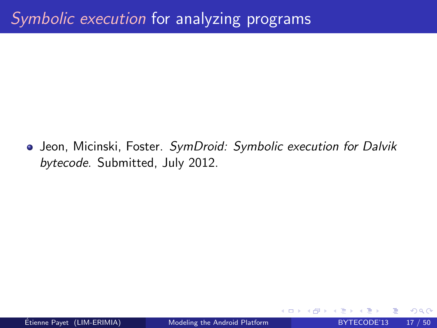• Jeon, Micinski, Foster. SymDroid: Symbolic execution for Dalvik bytecode. Submitted, July 2012.

 $\leftarrow$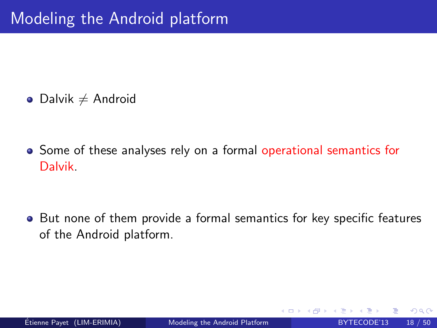$\bullet$  Dalvik  $\neq$  Android

• Some of these analyses rely on a formal operational semantics for Dalvik.

• But none of them provide a formal semantics for key specific features of the Android platform.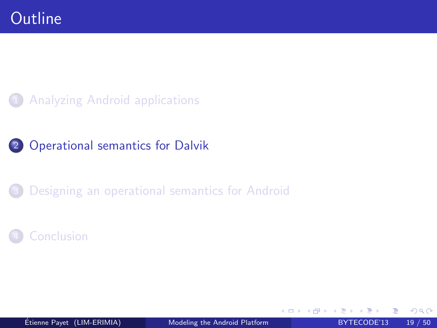### **[Analyzing Android applications](#page-2-0)**

### 2 [Operational semantics for Dalvik](#page-18-0)

### [Designing an operational semantics for Android](#page-25-0)

### **[Conclusion](#page-46-0)**

<span id="page-18-0"></span>4 0 8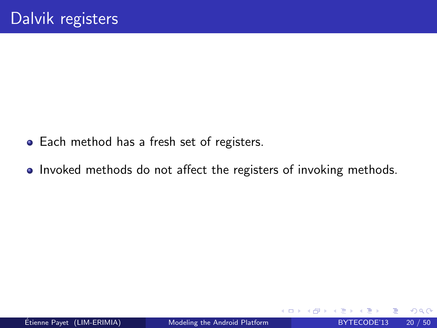- Each method has a fresh set of registers.
- Invoked methods do not affect the registers of invoking methods.

 $\leftarrow$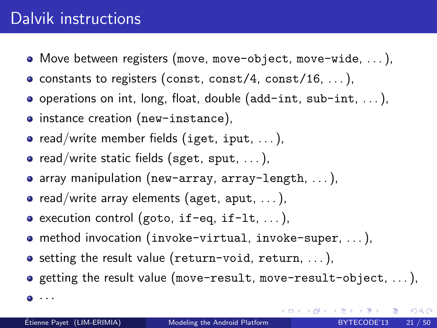### Dalvik instructions

- Move between registers (move, move-object, move-wide, . . . ),
- constants to registers (const, const/4, const/16,  $\dots$ ),
- $\bullet$  operations on int, long, float, double (add-int, sub-int, ...),
- instance creation (new-instance),
- read/write member fields (iget, iput,  $\dots$ ),
- $\bullet$  read/write static fields (sget, sput, ...),
- array manipulation (new-array, array-length, . . . ),
- $\bullet$  read/write array elements (aget, aput, ...),
- $\bullet$  execution control (goto, if-eq, if-lt, ...),
- method invocation (invoke-virtual, invoke-super, . . . ),
- o setting the result value (return-void, return, ...),
- $\bullet$  getting the result value (move-result, move-result-object, ...),
- $\bullet$   $\cdot$   $\cdot$   $\cdot$

 $200$ 

**イロト イ部ト イミト イミト**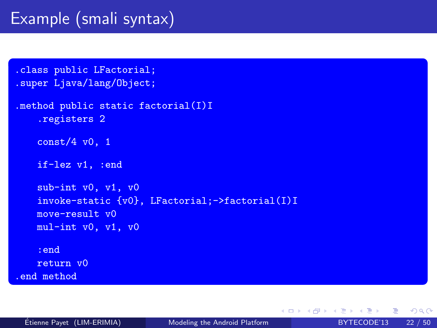## Example (smali syntax)

```
.class public LFactorial;
.super Ljava/lang/Object;
.method public static factorial(I)I
    .registers 2
   const/4 v0, 1
   if-lez v1, :end
   sub-int v0, v1, v0
   invoke-static {v0}, LFactorial;->factorial(I)I
   move-result v0
   mul-int v0, v1, v0
   :end
   return v0
.end method
```
 $2990$ 

 $\left\{ \begin{array}{ccc} \square & \rightarrow & \left\langle \begin{array}{ccc} \square & \vee & \vee & \square & \vee & \vee & \square & \vee \end{array} \right. & \square & \rightarrow & \left\langle \begin{array}{ccc} \square & \vee & \vee & \vee & \square & \vee \end{array} \right. & \square & \rightarrow & \left\langle \begin{array}{ccc} \square & \vee & \vee & \vee & \vee \end{array} \right. & \square \end{array} \right. \end{array}$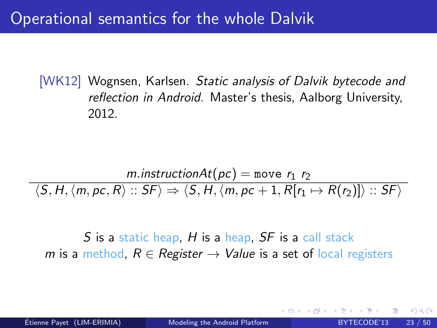Operational semantics for the whole Dalvik

[WK12] Wognsen, Karlsen. Static analysis of Dalvik bytecode and reflection in Android. Master's thesis, Aalborg University, 2012.

$$
\frac{m.\text{instructionAt}(pc) = \text{move } r_1 \ r_2}{\langle S, H, \langle m, pc, R \rangle :: SF \rangle \Rightarrow \langle S, H, \langle m, pc + 1, R[r_1 \mapsto R(r_2)] \rangle :: SF \rangle}
$$

S is a static heap,  $H$  is a heap,  $SF$  is a call stack m is a method,  $R \in \text{Register} \rightarrow \text{Value}$  is a set of local registers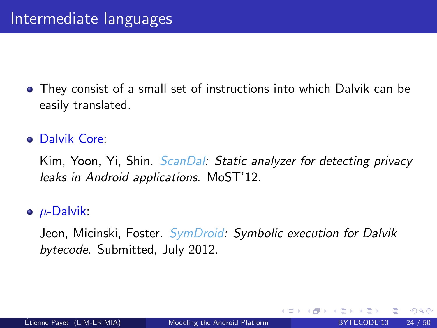They consist of a small set of instructions into which Dalvik can be easily translated.

### Dalvik Core:

Kim, Yoon, Yi, Shin. ScanDal: Static analyzer for detecting privacy leaks in Android applications. MoST'12.

### $\bullet$   $\mu$ -Dalvik:

Jeon, Micinski, Foster. SymDroid: Symbolic execution for Dalvik bytecode. Submitted, July 2012.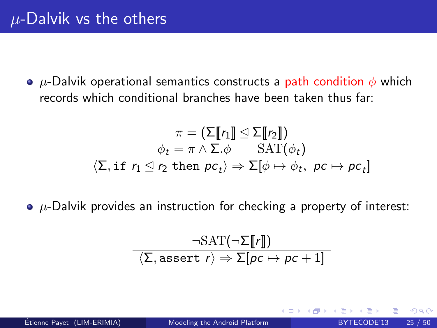•  $\mu$ -Dalvik operational semantics constructs a path condition  $\phi$  which records which conditional branches have been taken thus far:

$$
\pi = (\Sigma[\![r_1]\!] \trianglelefteq \Sigma[\![r_2]\!])
$$
\n
$$
\phi_t = \pi \wedge \Sigma.\phi \qquad \text{SAT}(\phi_t)
$$
\n
$$
\langle \Sigma, \text{if } r_1 \leq r_2 \text{ then } pc_t \rangle \Rightarrow \Sigma[\phi \mapsto \phi_t, \ pc \mapsto pc_t]
$$

 $\bullet$   $\mu$ -Dalvik provides an instruction for checking a property of interest:

$$
\frac{\neg \text{SAT}(\neg \Sigma \llbracket r \rrbracket)}{\langle \Sigma, \text{assert } r \rangle \Rightarrow \Sigma[\text{pc} \mapsto \text{pc} + 1]}
$$

つひひ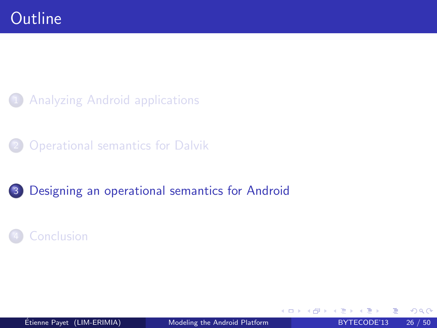**[Analyzing Android applications](#page-2-0)** 

**[Operational semantics for Dalvik](#page-18-0)** 

3 [Designing an operational semantics for Android](#page-25-0)

**[Conclusion](#page-46-0)** 

 $\acute{E}$ tienne Payet (LIM-ERIMIA) [Modeling the Android Platform](#page-0-0) BYTECODE'13 26 / 50

4 0 8

<span id="page-25-0"></span>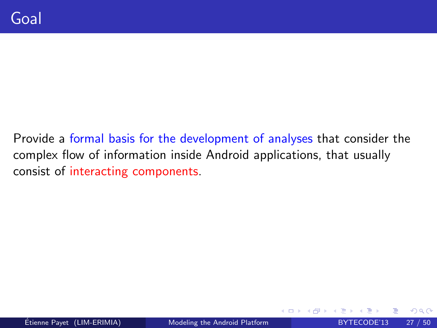Provide a formal basis for the development of analyses that consider the complex flow of information inside Android applications, that usually consist of interacting components.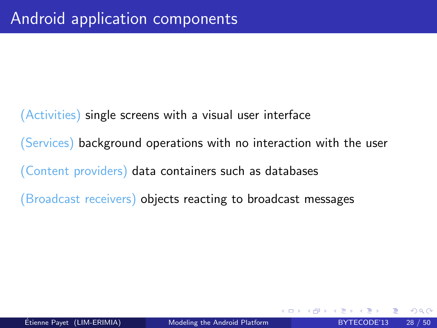(Activities) single screens with a visual user interface (Services) background operations with no interaction with the user (Content providers) data containers such as databases (Broadcast receivers) objects reacting to broadcast messages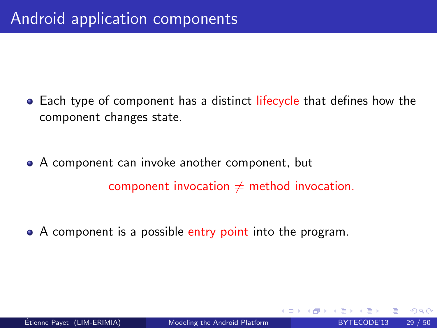- Each type of component has a distinct lifecycle that defines how the component changes state.
- A component can invoke another component, but component invocation  $\neq$  method invocation.
- A component is a possible entry point into the program.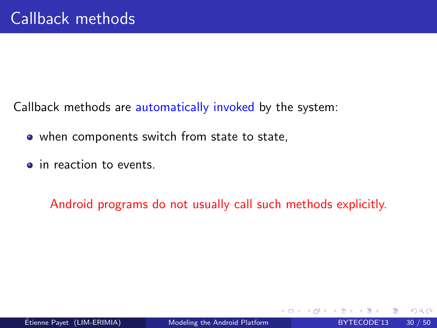Callback methods are automatically invoked by the system:

- when components switch from state to state,
- in reaction to events.

Android programs do not usually call such methods explicitly.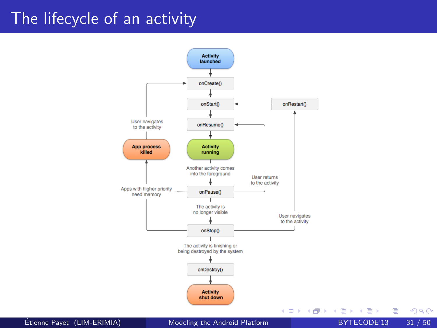### The lifecycle of an activity



Etienne Payet (LIM-ERIMIA) ´ [Modeling the Android Platform](#page-0-0) BYTECODE'13 31 / 50

э

 $QQ$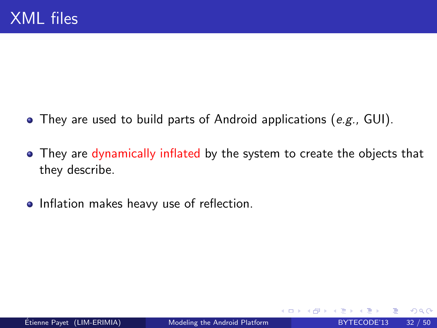- $\bullet$  They are used to build parts of Android applications (e.g., GUI).
- They are dynamically inflated by the system to create the objects that they describe.
- Inflation makes heavy use of reflection.

**∢ ⊡**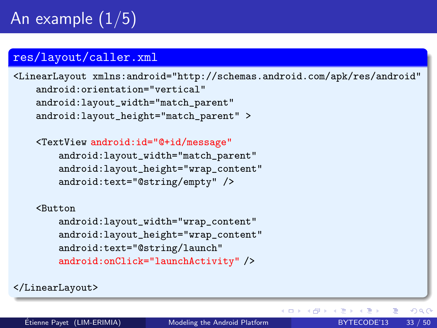## An example  $(1/5)$

#### res/layout/caller.xml

<LinearLayout xmlns:android="http://schemas.android.com/apk/res/android" android:orientation="vertical" android:layout\_width="match\_parent" android:layout\_height="match\_parent" >

<TextView android:id="@+id/message"

android:layout\_width="match\_parent" android:layout\_height="wrap\_content" android:text="@string/empty" />

#### <Button

android:layout\_width="wrap\_content" android:layout\_height="wrap\_content" android:text="@string/launch" android:onClick="launchActivity" />

</LinearLayout>

画

 $QQ$ 

4 ロ ト 4 何 ト 4 ヨ ト 4 ヨ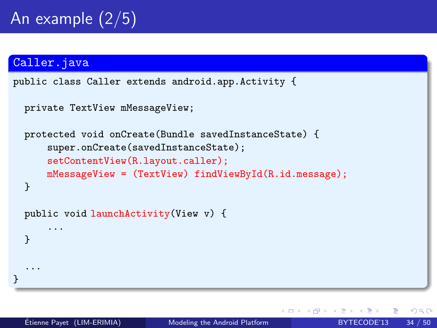#### Caller.java

}

... }

```
public class Caller extends android.app.Activity {
```

```
private TextView mMessageView;
```

```
protected void onCreate(Bundle savedInstanceState) {
    super.onCreate(savedInstanceState);
    setContentView(R.layout.caller);
    mMessageView = (TextView) findViewById(R.id.message);
}
public void launchActivity(View v) {
    ...
```
4 D F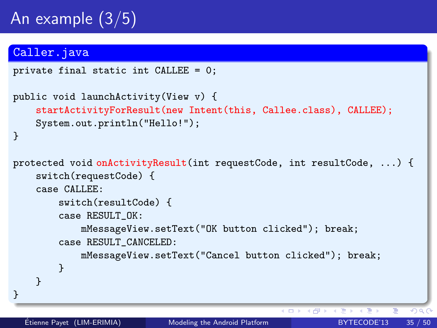## An example (3/5)

### Caller.java

```
private final static int CALLEE = 0;
public void launchActivity(View v) {
    startActivityForResult(new Intent(this, Callee.class), CALLEE);
    System.out.println("Hello!");
}
protected void onActivityResult(int requestCode, int resultCode, ...) {
    switch(requestCode) {
    case CALLEE:
        switch(resultCode) {
        case RESULT_OK:
            mMessageView.setText("OK button clicked"); break;
        case RESULT_CANCELED:
            mMessageView.setText("Cancel button clicked"); break;
        }
    }
```
}

4 D F

4 母 8

 $QQ$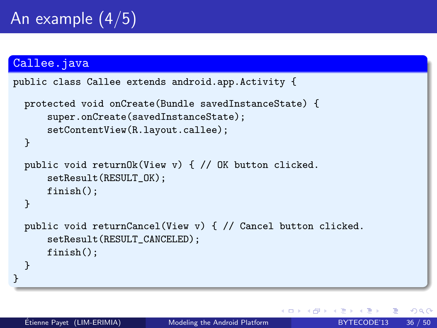#### Callee.java

```
public class Callee extends android.app.Activity {
 protected void onCreate(Bundle savedInstanceState) {
      super.onCreate(savedInstanceState);
      setContentView(R.layout.callee);
 }
 public void returnOk(View v) { // OK button clicked.
      setResult(RESULT_OK);
      finish();
 }
 public void returnCancel(View v) { // Cancel button clicked.
      setResult(RESULT_CANCELED);
      finish();
  }
}
```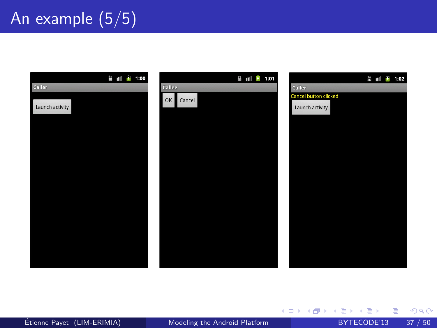## An example (5/5)



メロメ メ都 メメ きょくきょ

重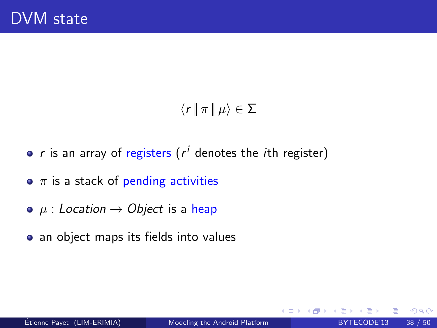### $\langle r | \pi | \mu \rangle \in \Sigma$

- $r$  is an array of registers ( $r^i$  denotes the ith register)
- $\bullet$   $\pi$  is a stack of pending activities
- $\bullet$   $\mu$  : Location  $\rightarrow$  Object is a heap
- an object maps its fields into values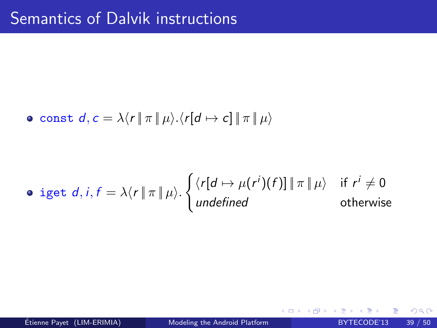• const 
$$
d, c = \lambda \langle r | \pi | \mu \rangle \langle r [d \mapsto c] | \pi | \mu \rangle
$$

• *iget* d, *i*, 
$$
f = \lambda \langle r | \pi | \mu \rangle
$$
. 
$$
\begin{cases} \langle r [d \mapsto \mu(r^i)(f)] | \pi | \mu \rangle & \text{if } r^i \neq 0 \\ \text{undefined} & \text{otherwise} \end{cases}
$$

Etienne Payet (LIM-ERIMIA) ´ [Modeling the Android Platform](#page-0-0) BYTECODE'13 39 / 50

 $\sim$ 

画

**4 ロ ▶ 4 母 ▶ 4**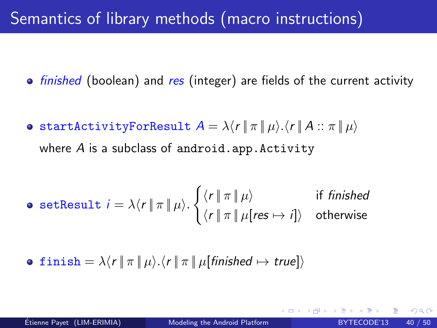## Semantics of library methods (macro instructions)

- finished (boolean) and res (integer) are fields of the current activity
- **startActivityForResult**  $A = \lambda \langle r | \pi | \mu \rangle \langle r | A : \pi | \mu \rangle$ where  $A$  is a subclass of android.app. Activity

$$
\bullet \ \ \texttt{setResult} \ \ i = \lambda \langle r \, \| \, \pi \, \| \, \mu \rangle. \begin{cases} \langle r \, \| \, \pi \, \| \, \mu \rangle & \text{if \ } \textit{finshed} \\ \langle r \, \| \, \pi \, \| \, \mu[\textit{res} \mapsto i] \rangle & \text{otherwise} \end{cases}
$$

• 
$$
\text{ 1 inish} = \lambda \langle r | \pi | \mu \rangle . \langle r | \pi | \mu \text{[finished} \mapsto \text{true]} \rangle
$$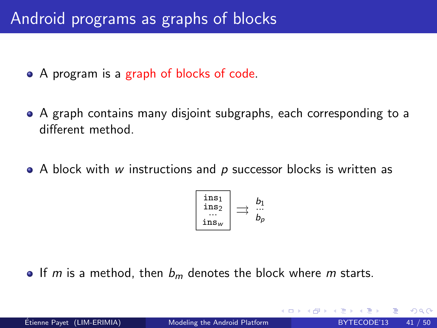## Android programs as graphs of blocks

- A program is a graph of blocks of code.
- A graph contains many disjoint subgraphs, each corresponding to a different method.
- $\bullet$  A block with w instructions and p successor blocks is written as

$$
\left[\begin{array}{c}\textup{ins}_1\\\textup{ins}_2\\\cdots\\\textup{ins}_w\end{array}\right]\rightrightarrows\begin{array}{c}b_1\\\cdots\\b_p\end{array}
$$

If m is a method, then  $b_m$  denotes the block where m starts.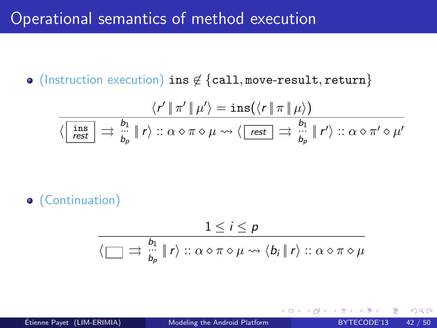### Operational semantics of method execution

• (Instruction execution) ins ∉ {call, move-result, return}

$$
\frac{\langle r' \parallel \pi' \parallel \mu' \rangle = \text{ins}(\langle r \parallel \pi \parallel \mu \rangle)}{\langle \begin{array}{|c|c|c|c|c|c|c|c|c|c|c|c} \hline \text{ins} & & b_1 \\ \hline \text{rest} & & \Rightarrow & \text{in} & \text{in} \\ \hline \text{rest} & & \Rightarrow & \text{in} & \text{in} \end{array} \rangle \implies \langle \begin{array}{|c|c|c|c|c|c|c|c} \hline \text{rest} & & \Rightarrow & \text{in} & \text{in} \\ \hline \text{rest} & & \Rightarrow & \text{in} & \text{in} \\ \hline \text{best} & & \Rightarrow & \text{in} & \text{in} \end{array} \rangle \implies \frac{\text{bn}}{\text{bn}} \parallel r' \rangle \implies \alpha \diamond \pi' \diamond \mu'
$$

(Continuation)

$$
\frac{1 \leq i \leq p}{\langle \bigsqcup \exists \frac{b_1}{b_p} \parallel r \rangle :: \alpha \diamond \pi \diamond \mu \leadsto \langle b_i \parallel r \rangle :: \alpha \diamond \pi \diamond \mu}
$$

4 D F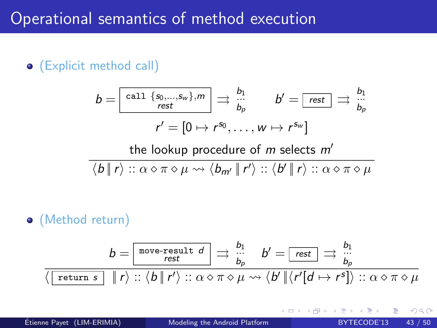### Operational semantics of method execution

(Explicit method call)

$$
b = \boxed{\text{call } \{s_0, \ldots, s_w\}, m} \implies \frac{b_1}{b_p} \qquad b' = \boxed{\text{rest}} \implies \frac{b_1}{b_p}
$$
\n
$$
r' = [0 \mapsto r^{s_0}, \ldots, w \mapsto r^{s_w}]
$$
\nthe lookup procedure of *m* selects *m'*

$$
\langle b \parallel r \rangle :: \alpha \diamond \pi \diamond \mu \leadsto \langle b_{m'} \parallel r' \rangle :: \langle b' \parallel r \rangle :: \alpha \diamond \pi \diamond \mu
$$

(Method return)

$$
b = \boxed{\text{move-result } d} \implies \frac{b_1}{b_p} \quad b' = \boxed{\text{rest}} \implies \frac{b_1}{b_p}
$$
\n
$$
\langle \boxed{\text{return } s} \quad || \ r \rangle :: \langle b \, || \ r' \rangle :: \alpha \diamond \pi \diamond \mu \leadsto \langle b' \, || \langle r' [d \mapsto r^s] \rangle :: \alpha \diamond \pi \diamond \mu
$$

 $\leftarrow$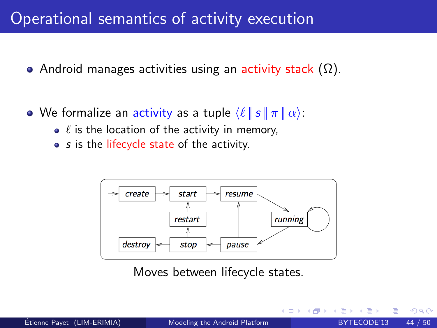### Operational semantics of activity execution

- Android manages activities using an activity stack  $(\Omega)$ .
- We formalize an activity as a tuple  $\langle \ell | s | \pi | \alpha \rangle$ :
	- $\bullet$   $\ell$  is the location of the activity in memory,
	- s is the lifecycle state of the activity.



Moves between lifecycle states.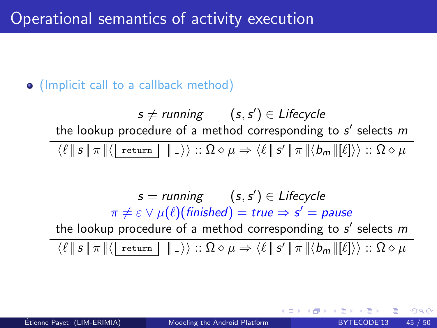### (Implicit call to a callback method)

 $\mathsf{s}\neq$  running  $(\mathsf{s},\mathsf{s}')\in \mathsf{L}$ ifecycle the lookup procedure of a method corresponding to  $s'$  selects  $m$  $\mathrm{Re}(\ell\,\|\,s\,\|\,\pi\,\|\langle\begin{smallmatrix} \texttt{return} \end{smallmatrix} \parallel\,]\rangle):\Omega\diamond\mu\Rightarrow\langle\ell\,\|\,s'\,\|\,\pi\,\|\langle b_m\,\|[ \ell]\rangle\rangle::\Omega\diamond\mu$ 

 $s =$  running  $(s, s') \in$  Lifecycle  $\pi\neq\varepsilon\vee\mu(\ell)$ (finished)  $=\mathsf{true}\Rightarrow\mathsf{s}'=\mathsf{pause}$ the lookup procedure of a method corresponding to  $s'$  selects  $m$ 

 $\mathcal{A} \left( \ell \: \| \: s \: \| \: \pi \: \| \langle \: \text{return} \: \: \| \: \_ \rangle \right) :: \Omega \diamond \mu \Rightarrow \mathcal{A} \ell \: \| \: s' \: \| \: \pi \: \| \langle b_m \: \| [\ell] \rangle \rangle :: \Omega \diamond \mu$ 

つひひ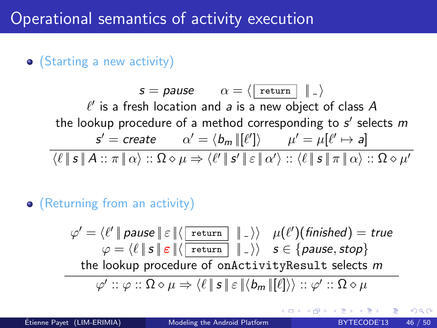### (Starting a new activity)

 $s = \textit{pause}$   $\alpha = \langle | \text{ return} | | \cdot | \rangle$  $\ell'$  is a fresh location and a is a new object of class  $A$ the lookup procedure of a method corresponding to  $s'$  selects  $m$  $\mathsf{s}'=\mathsf{create} \qquad \alpha'=\langle \mathsf{b}_m\,\|[\ell']\rangle \qquad \mu'=\mu[\ell'\mapsto \mathsf{a}]$  $\mathcal{H}\left(\ell\,\|\,\mathbf{s}\,\|\, A::\pi\,\|\,\alpha\right) :: \Omega \diamond \mu \Rightarrow \mathcal{H}\left\|\,\mathbf{s}'\,\|\,\mathbf{s}\,\|\,\alpha'\right> :: \mathcal{H}\left\|\,\mathbf{s}\,\|\,\pi\,\|\,\alpha\right> :: \Omega \diamond \mu'$ 

### (Returning from an activity)

$$
\varphi' = \langle \ell' \parallel \text{parse} \parallel \varepsilon \parallel \langle \boxed{\text{return}} \parallel \neg \rangle \rangle \quad \mu(\ell') \text{(finished)} = \text{true}
$$
\n
$$
\varphi = \langle \ell \parallel s \parallel \varepsilon \parallel \langle \boxed{\text{return}} \parallel \neg \rangle \rangle \quad s \in \{\text{parse, stop}\}
$$
\nthe lookup procedure of onActivityResult selects  $m$ 

\n
$$
\varphi' :: \varphi :: \Omega \diamond \mu \Rightarrow \langle \ell \parallel s \parallel \varepsilon \parallel \langle b_m \parallel [\ell] \rangle \rangle :: \varphi' :: \Omega \diamond \mu
$$

つひい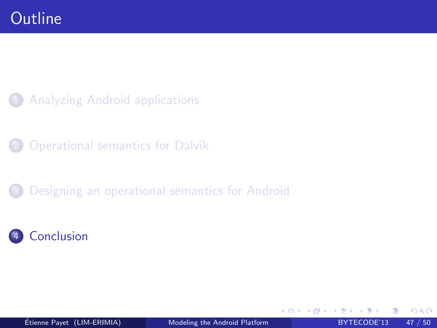- **[Analyzing Android applications](#page-2-0)**
- **[Operational semantics for Dalvik](#page-18-0)**
- [Designing an operational semantics for Android](#page-25-0)



<span id="page-46-0"></span>4 0 8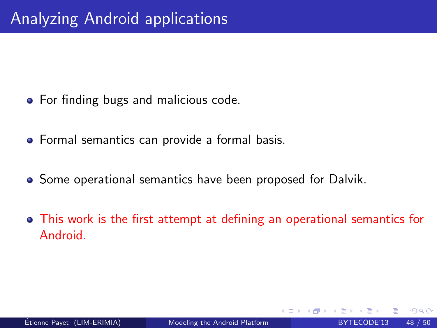- **•** For finding bugs and malicious code.
- Formal semantics can provide a formal basis.
- **•** Some operational semantics have been proposed for Dalvik.
- This work is the first attempt at defining an operational semantics for Android.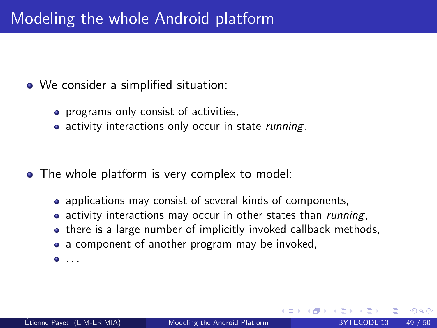### Modeling the whole Android platform

- We consider a simplified situation:
	- programs only consist of activities,
	- activity interactions only occur in state *running*.

- The whole platform is very complex to model:
	- applications may consist of several kinds of components,
	- activity interactions may occur in other states than *running*,
	- there is a large number of implicitly invoked callback methods,
	- a component of another program may be invoked,
	- $\bullet$  ...